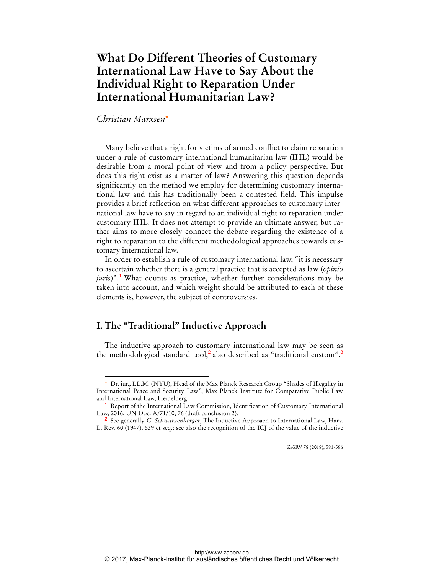# **What Do Different Theories of Customary International Law Have to Say About the Individual Right to Reparation Under International Humanitarian Law?**

#### *Christian Marxsen*\*

 $\overline{a}$ 

Many believe that a right for victims of armed conflict to claim reparation under a rule of customary international humanitarian law (IHL) would be desirable from a moral point of view and from a policy perspective. But does this right exist as a matter of law? Answering this question depends significantly on the method we employ for determining customary international law and this has traditionally been a contested field. This impulse provides a brief reflection on what different approaches to customary international law have to say in regard to an individual right to reparation under customary IHL. It does not attempt to provide an ultimate answer, but rather aims to more closely connect the debate regarding the existence of a right to reparation to the different methodological approaches towards customary international law.

In order to establish a rule of customary international law, "it is necessary to ascertain whether there is a general practice that is accepted as law (*opinio juris*)".<sup>1</sup> What counts as practice, whether further considerations may be taken into account, and which weight should be attributed to each of these elements is, however, the subject of controversies.

## **I. The "Traditional" Inductive Approach**

The inductive approach to customary international law may be seen as the methodological standard tool,<sup>2</sup> also described as "traditional custom".<sup>3</sup>

ZaöRV 78 (2018), 581-586

<sup>\*</sup> Dr. iur., LL.M. (NYU), Head of the Max Planck Research Group "Shades of Illegality in International Peace and Security Law", Max Planck Institute for Comparative Public Law and International Law, Heidelberg.

<sup>&</sup>lt;sup>1</sup> Report of the International Law Commission, Identification of Customary International Law, 2016, UN Doc. A/71/10, 76 (draft conclusion 2).

<sup>2</sup> See generally *G. Schwarzenberger*, The Inductive Approach to International Law, Harv. L. Rev. 60 (1947), 539 et seq.; see also the recognition of the ICJ of the value of the inductive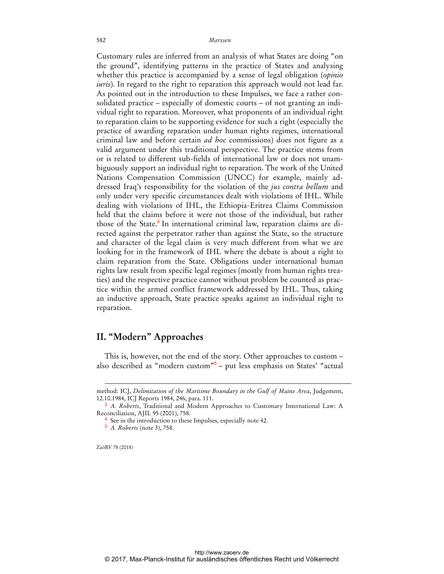#### 582 *Marxsen*

Customary rules are inferred from an analysis of what States are doing "on the ground", identifying patterns in the practice of States and analysing whether this practice is accompanied by a sense of legal obligation (*opinio iuris*). In regard to the right to reparation this approach would not lead far. As pointed out in the introduction to these Impulses, we face a rather consolidated practice – especially of domestic courts – of not granting an individual right to reparation. Moreover, what proponents of an individual right to reparation claim to be supporting evidence for such a right (especially the practice of awarding reparation under human rights regimes, international criminal law and before certain *ad hoc* commissions) does not figure as a valid argument under this traditional perspective. The practice stems from or is related to different sub-fields of international law or does not unambiguously support an individual right to reparation. The work of the United Nations Compensation Commission (UNCC) for example, mainly addressed Iraq's responsibility for the violation of the *jus contra bellum* and only under very specific circumstances dealt with violations of IHL. While dealing with violations of IHL, the Ethiopia-Eritrea Claims Commission held that the claims before it were not those of the individual, but rather those of the State.<sup>4</sup> In international criminal law, reparation claims are directed against the perpetrator rather than against the State, so the structure and character of the legal claim is very much different from what we are looking for in the framework of IHL where the debate is about a right to claim reparation from the State. Obligations under international human rights law result from specific legal regimes (mostly from human rights treaties) and the respective practice cannot without problem be counted as practice within the armed conflict framework addressed by IHL. Thus, taking an inductive approach, State practice speaks against an individual right to reparation.

## **II. "Modern" Approaches**

This is, however, not the end of the story. Other approaches to custom – also described as "modern custom"<sup>5</sup> – put less emphasis on States' "actual

<sup>4</sup> See in the introduction to these Impulses, especially note 42.

5 *A. Roberts* (note 3), 758.

ZaöRV 78 (2018)

 $\overline{a}$ 

method: ICJ, *Delimitation of the Maritime Boundary in the Gulf of Maine Area*, Judgement, 12.10.1984, ICJ Reports 1984, 246, para. 111.

<sup>3</sup> *A. Roberts*, Traditional and Modern Approaches to Customary International Law: A Reconciliation, AJIL 95 (2001), 758.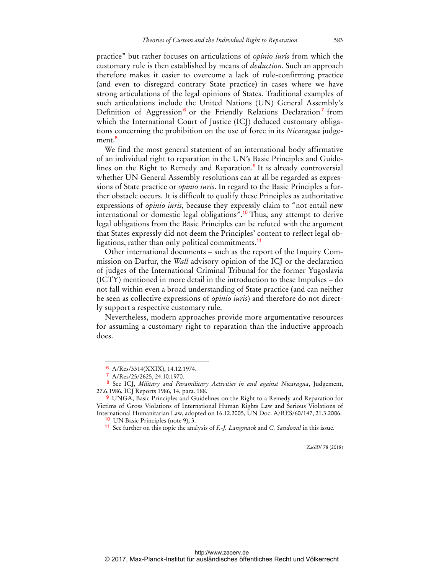practice" but rather focuses on articulations of *opinio iuris* from which the customary rule is then established by means of *deduction*. Such an approach therefore makes it easier to overcome a lack of rule-confirming practice (and even to disregard contrary State practice) in cases where we have strong articulations of the legal opinions of States. Traditional examples of such articulations include the United Nations (UN) General Assembly's Definition of Aggression<sup>6</sup> or the Friendly Relations Declaration<sup>7</sup> from which the International Court of Justice (ICJ) deduced customary obligations concerning the prohibition on the use of force in its *Nicaragua* judgement.<sup>8</sup>

We find the most general statement of an international body affirmative of an individual right to reparation in the UN's Basic Principles and Guidelines on the Right to Remedy and Reparation.<sup>9</sup> It is already controversial whether UN General Assembly resolutions can at all be regarded as expressions of State practice or *opinio iuris*. In regard to the Basic Principles a further obstacle occurs. It is difficult to qualify these Principles as authoritative expressions of *opinio iuris*, because they expressly claim to "not entail new international or domestic legal obligations".<sup>10</sup> Thus, any attempt to derive legal obligations from the Basic Principles can be refuted with the argument that States expressly did not deem the Principles' content to reflect legal obligations, rather than only political commitments.<sup>11</sup>

Other international documents – such as the report of the Inquiry Commission on Darfur, the *Wall* advisory opinion of the ICJ or the declaration of judges of the International Criminal Tribunal for the former Yugoslavia (ICTY) mentioned in more detail in the introduction to these Impulses – do not fall within even a broad understanding of State practice (and can neither be seen as collective expressions of *opinio iuris*) and therefore do not directly support a respective customary rule.

Nevertheless, modern approaches provide more argumentative resources for assuming a customary right to reparation than the inductive approach does.

 $\overline{a}$ 

ZaöRV 78 (2018)

<sup>6</sup> A/Res/3314(XXIX), 14.12.1974.

<sup>7</sup> A/Res/25/2625, 24.10.1970.

<sup>8</sup> See ICJ, *Military and Paramilitary Activities in and against Nicaragua*, Judgement, 27.6.1986, ICJ Reports 1986, 14, para. 188.

<sup>9</sup> UNGA, Basic Principles and Guidelines on the Right to a Remedy and Reparation for Victims of Gross Violations of International Human Rights Law and Serious Violations of International Humanitarian Law, adopted on 16.12.2005, UN Doc. A/RES/60/147, 21.3.2006.

<sup>10</sup> UN Basic Principles (note 9), 3.

<sup>11</sup> See further on this topic the analysis of *F.-J. Langmack* and *C. Sandoval* in this issue.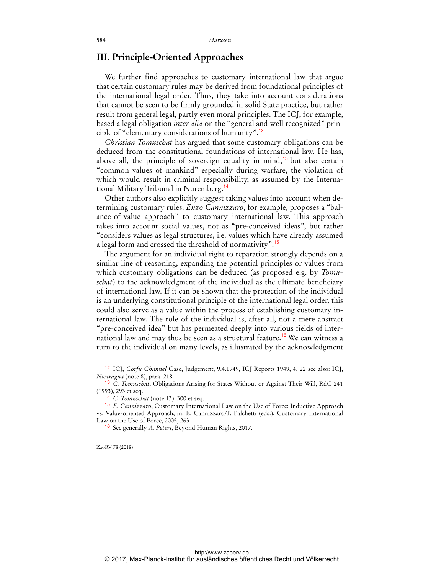### **III. Principle-Oriented Approaches**

We further find approaches to customary international law that argue that certain customary rules may be derived from foundational principles of the international legal order. Thus, they take into account considerations that cannot be seen to be firmly grounded in solid State practice, but rather result from general legal, partly even moral principles. The ICJ, for example, based a legal obligation *inter alia* on the "general and well recognized" principle of "elementary considerations of humanity".<sup>12</sup>

*Christian Tomuschat* has argued that some customary obligations can be deduced from the constitutional foundations of international law. He has, above all, the principle of sovereign equality in mind,<sup>13</sup> but also certain "common values of mankind" especially during warfare, the violation of which would result in criminal responsibility, as assumed by the International Military Tribunal in Nuremberg.<sup>14</sup>

Other authors also explicitly suggest taking values into account when determining customary rules. *Enzo Cannizzaro*, for example, proposes a "balance-of-value approach" to customary international law. This approach takes into account social values, not as "pre-conceived ideas", but rather "considers values as legal structures, i.e. values which have already assumed a legal form and crossed the threshold of normativity".<sup>15</sup>

The argument for an individual right to reparation strongly depends on a similar line of reasoning, expanding the potential principles or values from which customary obligations can be deduced (as proposed e.g. by *Tomuschat*) to the acknowledgment of the individual as the ultimate beneficiary of international law. If it can be shown that the protection of the individual is an underlying constitutional principle of the international legal order, this could also serve as a value within the process of establishing customary international law. The role of the individual is, after all, not a mere abstract "pre-conceived idea" but has permeated deeply into various fields of international law and may thus be seen as a structural feature.<sup>16</sup> We can witness a turn to the individual on many levels, as illustrated by the acknowledgment

ZaöRV 78 (2018)

 $\overline{a}$ 

<sup>12</sup> ICJ, *Corfu Channel* Case, Judgement, 9.4.1949, ICJ Reports 1949, 4, 22 see also: ICJ, *Nicaragua* (note 8), para. 218.

<sup>13</sup> *C. Tomuschat*, Obligations Arising for States Without or Against Their Will, RdC 241 (1993), 293 et seq.

<sup>14</sup> *C. Tomuschat* (note 13), 300 et seq.

<sup>15</sup> *E. Cannizzaro*, Customary International Law on the Use of Force: Inductive Approach vs. Value-oriented Approach, in: E. Cannizzaro/P. Palchetti (eds.), Customary International Law on the Use of Force, 2005, 263.

<sup>16</sup> See generally *A. Peters*, Beyond Human Rights, 2017.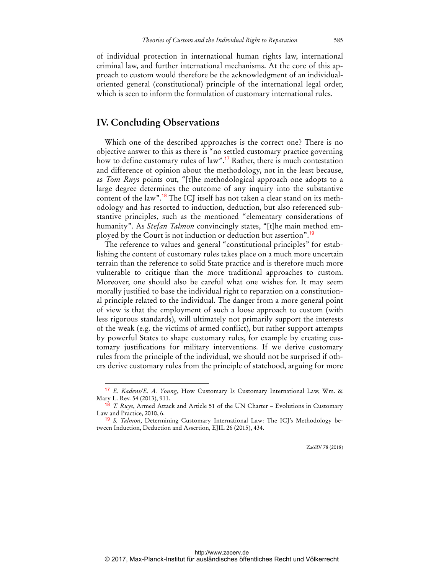of individual protection in international human rights law, international criminal law, and further international mechanisms. At the core of this approach to custom would therefore be the acknowledgment of an individualoriented general (constitutional) principle of the international legal order, which is seen to inform the formulation of customary international rules.

### **IV. Concluding Observations**

 $\overline{a}$ 

Which one of the described approaches is the correct one? There is no objective answer to this as there is "no settled customary practice governing how to define customary rules of law".<sup>17</sup> Rather, there is much contestation and difference of opinion about the methodology, not in the least because, as *Tom Ruys* points out, "[t]he methodological approach one adopts to a large degree determines the outcome of any inquiry into the substantive content of the law".<sup>18</sup> The ICJ itself has not taken a clear stand on its methodology and has resorted to induction, deduction, but also referenced substantive principles, such as the mentioned "elementary considerations of humanity". As *Stefan Talmon* convincingly states, "[t]he main method employed by the Court is not induction or deduction but assertion".<sup>19</sup>

The reference to values and general "constitutional principles" for establishing the content of customary rules takes place on a much more uncertain terrain than the reference to solid State practice and is therefore much more vulnerable to critique than the more traditional approaches to custom. Moreover, one should also be careful what one wishes for. It may seem morally justified to base the individual right to reparation on a constitutional principle related to the individual. The danger from a more general point of view is that the employment of such a loose approach to custom (with less rigorous standards), will ultimately not primarily support the interests of the weak (e.g. the victims of armed conflict), but rather support attempts by powerful States to shape customary rules, for example by creating customary justifications for military interventions. If we derive customary rules from the principle of the individual, we should not be surprised if others derive customary rules from the principle of statehood, arguing for more

<sup>17</sup> *E. Kadens/E. A. Young*, How Customary Is Customary International Law, Wm. & Mary L. Rev. 54 (2013), 911.

<sup>&</sup>lt;sup>8</sup> *T. Ruys*, Armed Attack and Article 51 of the UN Charter – Evolutions in Customary Law and Practice, 2010, 6.

<sup>19</sup> *S. Talmon*, Determining Customary International Law: The ICJ's Methodology between Induction, Deduction and Assertion, EJIL 26 (2015), 434.